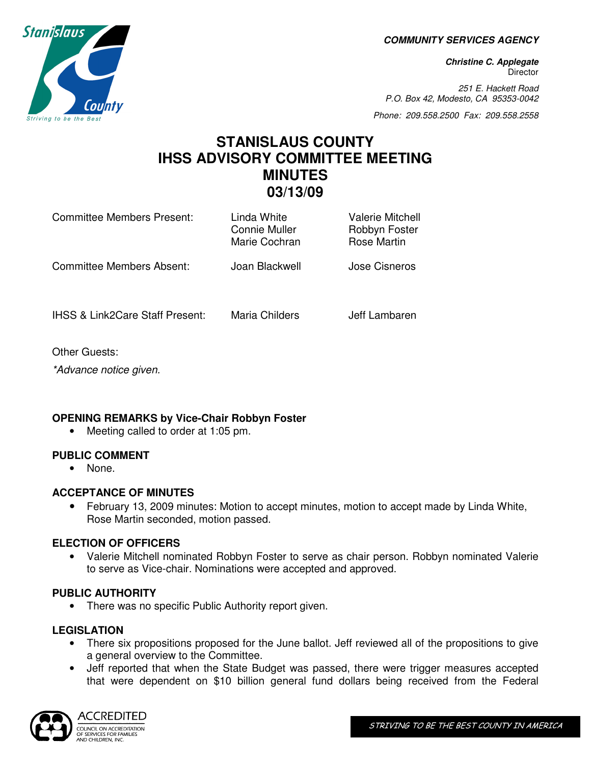**COMMUNITY SERVICES AGENCY** 

**Christine C. Applegate Director** 

251 E. Hackett Road P.O. Box 42, Modesto, CA 95353-0042

Phone: 209.558.2500 Fax: 209.558.2558

# **STANISLAUS COUNTY IHSS ADVISORY COMMITTEE MEETING MINUTES 03/13/09**

| Committee Members Present:                 | Linda White<br><b>Connie Muller</b><br>Marie Cochran | Valerie Mitchell<br>Robbyn Foster<br><b>Rose Martin</b> |
|--------------------------------------------|------------------------------------------------------|---------------------------------------------------------|
| Committee Members Absent:                  | Joan Blackwell                                       | Jose Cisneros                                           |
| <b>IHSS &amp; Link2Care Staff Present:</b> | Maria Childers                                       | Jeff Lambaren                                           |

Other Guests:

\*Advance notice given.

## **OPENING REMARKS by Vice-Chair Robbyn Foster**

• Meeting called to order at 1:05 pm.

### **PUBLIC COMMENT**

• None.

## **ACCEPTANCE OF MINUTES**

• February 13, 2009 minutes: Motion to accept minutes, motion to accept made by Linda White, Rose Martin seconded, motion passed.

## **ELECTION OF OFFICERS**

• Valerie Mitchell nominated Robbyn Foster to serve as chair person. Robbyn nominated Valerie to serve as Vice-chair. Nominations were accepted and approved.

### **PUBLIC AUTHORITY**

• There was no specific Public Authority report given.

## **LEGISLATION**

- There six propositions proposed for the June ballot. Jeff reviewed all of the propositions to give a general overview to the Committee.
- Jeff reported that when the State Budget was passed, there were trigger measures accepted that were dependent on \$10 billion general fund dollars being received from the Federal